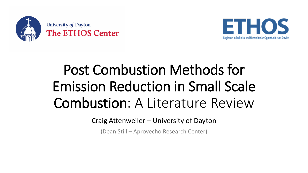

**University of Dayton The ETHOS Center** 



## Post Combustion Methods for Emission Reduction in Small Scale Combustion: A Literature Review

Craig Attenweiler – University of Dayton

(Dean Still – Aprovecho Research Center)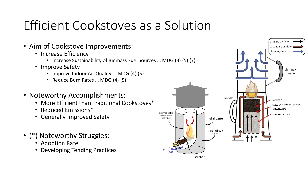## Efficient Cookstoves as a Solution

- Aim of Cookstove Improvements:
	- Increase Efficiency
		- Increase Sustainability of Biomass Fuel Sources … MDG (3) (5) (7)
	- Improve Safety
		- Improve Indoor Air Quality ... MDG (4) (5)
		- Reduce Burn Rates … MDG (4) (5)
- Noteworthy Accomplishments:
	- More Efficient than Traditional Cookstoves\*
	- Reduced Emissions\*
	- Generally Improved Safety
- (\*) Noteworthy Struggles:
	- Adoption Rate
	- Developing Tending Practices

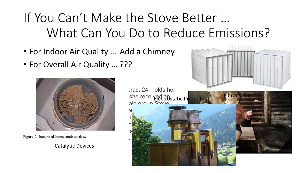## If You Can't Make the Stove Better … What Can You Do to Reduce Emissions?

- For Indoor Air Quality … Add a Chimney
- For Overall Air Quality … ???



Figure 7. Integrated honeycomb catalyst.

Catalytic Devices

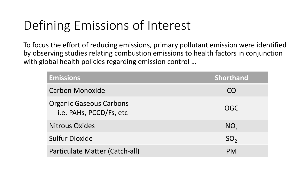## Defining Emissions of Interest

To focus the effort of reducing emissions, primary pollutant emission were identified by observing studies relating combustion emissions to health factors in conjunction with global health policies regarding emission control ...

| <b>Emissions</b>                                          | <b>Shorthand</b> |
|-----------------------------------------------------------|------------------|
| <b>Carbon Monoxide</b>                                    | CO               |
| <b>Organic Gaseous Carbons</b><br>i.e. PAHs, PCCD/Fs, etc | <b>OGC</b>       |
| <b>Nitrous Oxides</b>                                     | $NO_{x}$         |
| <b>Sulfur Dioxide</b>                                     | SO <sub>2</sub>  |
| Particulate Matter (Catch-all)                            | <b>PM</b>        |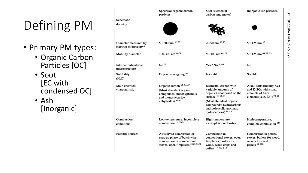## Defining PM

- Primary PM types:
	- Organic Carbon Particles [OC]
	- Soot [EC with condensed OC]

• Ash [Inorganic]

|                                              | Spherical organic carbon<br>particles                                                                                          | Soot (elemental<br>carbon aggregates)                                                                                  | Inorganic ash particles                                                                                    |
|----------------------------------------------|--------------------------------------------------------------------------------------------------------------------------------|------------------------------------------------------------------------------------------------------------------------|------------------------------------------------------------------------------------------------------------|
| Schematic                                    |                                                                                                                                |                                                                                                                        |                                                                                                            |
| drawing                                      |                                                                                                                                |                                                                                                                        |                                                                                                            |
| Diameter measured by<br>electron microscopy* | 50-600 nm <sup>52, 53</sup>                                                                                                    | 20-50 nm 52, 73                                                                                                        | 50-125 nm 97                                                                                               |
| Mobility diameter                            | 100-300 nm 68-70                                                                                                               | 50-300 nm 68, 76                                                                                                       | 50-125 nm 69, 98, 99                                                                                       |
| Internal turbostratic<br>microstructure      | No <sup>61</sup>                                                                                                               | Yes / No 81-83                                                                                                         | No                                                                                                         |
| Solubility<br>(H <sub>2</sub> O)             | Depends on ageing <sup>61</sup>                                                                                                | Insoluble                                                                                                              | Soluble                                                                                                    |
| Main chemical<br>characteristic              | Organic carbon <sup>62, 64, 67</sup><br>(Most abundant organic<br>compounds: metoxyphenols<br>and monosaccaride                | Elemental carbon with<br>variable amounts of<br>organics condensed on the<br>surface 12, 62, 81                        | Alkali salts (mainly KCl<br>and $K_2SO_4$ with small<br>amounts of trace<br>elements (e.g. Zn)) $^{78,92}$ |
|                                              | anhydrides) 57-60                                                                                                              | (Most abundant organic<br>compounds: hydrocarbons<br>and polycyclic aromatic<br>hydrocarbons) 84, 85                   |                                                                                                            |
| Combustion<br>conditions                     | Low-temperature, incomplete<br>combustion 11, 52-56                                                                            | High-temperature,<br>incomplete combustion 52                                                                          | High-temperature,<br>complete combustion 120                                                               |
| Possible sources                             | Air starved combustion or<br>start-up phase of batch wise<br>combustion in conventional<br>stoves, open fireplaces 58,62,64,67 | Combustion in<br>conventional stoves, open<br>fireplaces, boilers for<br>wood, wood chips and<br>pellets 14, 52, 75-79 | Combustion in pellets<br>stoves, boilers for wood,<br>wood chips and<br>pellets 69, 120                    |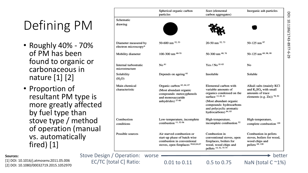## Defining PM

- Roughly 40% 70% of PM has been found to organic or carbonaceous in nature [1] [2]
- Proportion of resultant PM type is more greatly affected by fuel type than stove type / method of operation (manual vs. automatically fired) [1]

|                                                                                                                                                                |                                              | Spherical organic carbon<br>particles                                                                                                | Soot (elemental<br>carbon aggregates)                                                                                                                                                                   | Inorganic ash particles                                                                                  |
|----------------------------------------------------------------------------------------------------------------------------------------------------------------|----------------------------------------------|--------------------------------------------------------------------------------------------------------------------------------------|---------------------------------------------------------------------------------------------------------------------------------------------------------------------------------------------------------|----------------------------------------------------------------------------------------------------------|
| $\mathsf{M}% _{T}=\mathsf{M}_{T}\!\left( a,b\right) ,\ \mathsf{M}_{T}=\mathsf{M}_{T}\!\left( a,b\right) ,\ \mathsf{M}_{T}=\mathsf{M}_{T}\!\left( a,b\right) ,$ | Schematic<br>drawing                         |                                                                                                                                      |                                                                                                                                                                                                         |                                                                                                          |
| 70%                                                                                                                                                            | Diameter measured by<br>electron microscopy* | 50-600 nm 52, 53                                                                                                                     | 20-50 nm 52, 73                                                                                                                                                                                         | 50-125 nm 97                                                                                             |
|                                                                                                                                                                | Mobility diameter                            | 100-300 nm 68-70                                                                                                                     | 50-300 nm 68, 76                                                                                                                                                                                        | 50-125 nm 69, 98, 99                                                                                     |
| c or<br>n                                                                                                                                                      | Internal turbostratic<br>microstructure      | No <sup>61</sup>                                                                                                                     | Yes / No 81-83                                                                                                                                                                                          | No                                                                                                       |
|                                                                                                                                                                | Solubility<br>(H <sub>2</sub> O)             | Depends on ageing <sup>61</sup>                                                                                                      | Insoluble                                                                                                                                                                                               | Soluble                                                                                                  |
| pe is<br><b>fected</b><br>nƙ                                                                                                                                   | Main chemical<br>characteristic              | Organic carbon <sup>62, 64, 67</sup><br>(Most abundant organic<br>compounds: metoxyphenols<br>and monosaccaride<br>anhydrides) 57-60 | Elemental carbon with<br>variable amounts of<br>organics condensed on the<br>surface 12, 62, 81<br>(Most abundant organic<br>compounds: hydrocarbons<br>and polycyclic aromatic<br>hydrocarbons) 84, 85 | Alkali salts (mainly KCl<br>and $K_2SO_4$ with small<br>amounts of trace<br>elements (e.g. Zn)) $78, 92$ |
| ethod                                                                                                                                                          | Combustion<br>conditions                     | Low-temperature, incomplete<br>combustion 11, 52-56                                                                                  | High-temperature,<br>incomplete combustion <sup>52</sup>                                                                                                                                                | High-temperature,<br>complete combustion 120                                                             |
| nanual<br><u>ly</u>                                                                                                                                            | Possible sources                             | Air starved combustion or<br>start-up phase of batch wise<br>combustion in conventional<br>stoves, open fireplaces 58,62,64,67       | Combustion in<br>conventional stoves, open<br>fireplaces, boilers for<br>wood, wood chips and<br>pellets 14, 52, 75-79                                                                                  | Combustion in pellets<br>stoves, boilers for wood,<br>wood chips and<br>pellets 69, 120                  |
| Stove Design / Operation:                                                                                                                                      | worse                                        |                                                                                                                                      |                                                                                                                                                                                                         | better                                                                                                   |
|                                                                                                                                                                | <b>EC/TC [total C] Ratio:</b>                | 0.01 to 0.11                                                                                                                         | 0.5 to 0.75                                                                                                                                                                                             | NaN (total $C \sim 1\%$ )                                                                                |

#### **Sources:**

[1] DOI: 10.1016/j.atmosenv.2011.05.006 [2] DOI: 10.1080/00032719.2015.1052970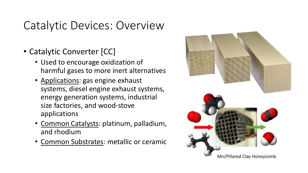#### Catalytic Devices: Overview

- Catalytic Converter [CC]
	- Used to encourage oxidization of harmful gases to more inert alternatives
	- Applications: gas engine exhaust systems, diesel engine exhaust systems, energy generation systems, industrial size factories, and wood-stove applications
	- Common Catalysts: platinum, palladium, and rhodium
	- Common Substrates: metallic or ceramic

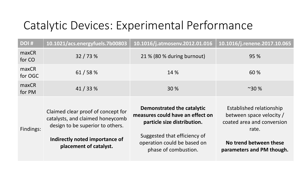#### Catalytic Devices: Experimental Performance

| <b>DOI#</b>      | 10.1021/acs.energyfuels.7b00803                                                                                                                                        | 10.1016/j.atmosenv.2012.01.016                                                                                                                                                       | 10.1016/j.renene.2017.10.065                                                                                                                       |
|------------------|------------------------------------------------------------------------------------------------------------------------------------------------------------------------|--------------------------------------------------------------------------------------------------------------------------------------------------------------------------------------|----------------------------------------------------------------------------------------------------------------------------------------------------|
| maxCR<br>for CO  | 32 / 73 %                                                                                                                                                              | 21 % (80 % during burnout)                                                                                                                                                           | 95 %                                                                                                                                               |
| maxCR<br>for OGC | 61/58%                                                                                                                                                                 | 14 %                                                                                                                                                                                 | 60 %                                                                                                                                               |
| maxCR<br>for PM  | 41/33%                                                                                                                                                                 | 30 %                                                                                                                                                                                 | ~230%                                                                                                                                              |
| Findings:        | Claimed clear proof of concept for<br>catalysts, and claimed honeycomb<br>design to be superior to others.<br>Indirectly noted importance of<br>placement of catalyst. | Demonstrated the catalytic<br>measures could have an effect on<br>particle size distribution.<br>Suggested that efficiency of<br>operation could be based on<br>phase of combustion. | Established relationship<br>between space velocity /<br>coated area and conversion<br>rate.<br>No trend between these<br>parameters and PM though. |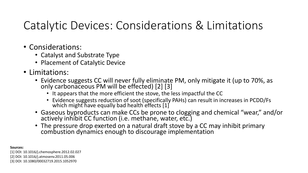#### Catalytic Devices: Considerations & Limitations

- Considerations:
	- Catalyst and Substrate Type
	- Placement of Catalytic Device
- Limitations:
	- Evidence suggests CC will never fully eliminate PM, only mitigate it (up to 70%, as only carbonaceous PM will be effected) [2] [3]
		- It appears that the more efficient the stove, the less impactful the CC
		- Evidence suggests reduction of soot (specifically PAHs) can result in increases in PCDD/Fs which might have equally bad health effects [1]
	- Gaseous byproducts can make CCs be prone to clogging and chemical "wear," and/or actively inhibit CC function (i.e. methane, water, etc.)
	- The pressure drop exerted on a natural draft stove by a CC may inhibit primary combustion dynamics enough to discourage implementation

**Sources:** [1] DOI: 10.1016/j.chemosphere.2012.02.027 [2] DOI: 10.1016/j.atmosenv.2011.05.006 [3] DOI: 10.1080/00032719.2015.1052970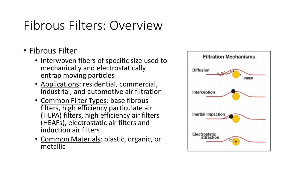### Fibrous Filters: Overview

- Fibrous Filter
	- Interwoven fibers of specific size used to mechanically and electrostatically entrap moving particles
	- Applications: residential, commercial, industrial, and automotive air filtration
	- Common Filter Types: base fibrous filters, high efficiency particulate air (HEPA) filters, high efficiency air filters (HEAFs), electrostatic air filters and induction air filters
	- Common Materials: plastic, organic, or metallic

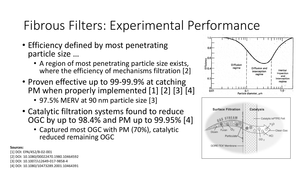## Fibrous Filters: Experimental Performance

- Efficiency defined by most penetrating particle size …
	- A region of most penetrating particle size exists, where the efficiency of mechanisms filtration [2]
- Proven effective up to 99-99.9% at catching PM when properly implemented [1] [2] [3] [4]
	- 97.5% MERV at 90 nm particle size [3]
- Catalytic filtration systems found to reduce OGC by up to 98.4% and PM up to 99.95% [4]
	- Captured most OGC with PM (70%), catalytic reduced remaining OGC

**Sources:**

[1] DOI: EPA/452/B-02-001 [2] DOI: 10.1080/00022470.1980.10464592 [3] DOI: 10.1007/s12649-017-9858-4 [4] DOI: 10.1080/10473289.2001.10464391



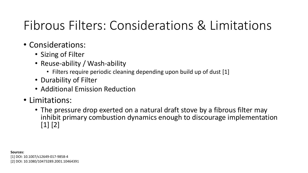## Fibrous Filters: Considerations & Limitations

- Considerations:
	- Sizing of Filter
	- Reuse-ability / Wash-ability
		- Filters require periodic cleaning depending upon build up of dust [1]
	- Durability of Filter
	- Additional Emission Reduction
- Limitations:
	- The pressure drop exerted on a natural draft stove by a fibrous filter may inhibit primary combustion dynamics enough to discourage implementation [1] [2]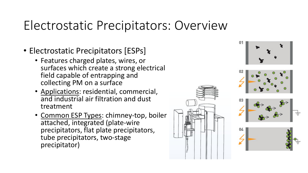#### Electrostatic Precipitators: Overview

- Electrostatic Precipitators [ESPs]
	- Features charged plates, wires, or surfaces which create a strong electrical field capable of entrapping and collecting PM on a surface
	- Applications: residential, commercial, and industrial air filtration and dust treatment
	- Common ESP Types: chimney-top, boiler attached, integrated (plate-wire precipitators, flat plate precipitators, tube precipitators, two-stage precipitator)

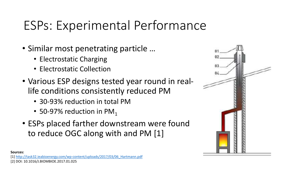### ESPs: Experimental Performance

- Similar most penetrating particle …
	- Electrostatic Charging
	- Electrostatic Collection
- Various ESP designs tested year round in reallife conditions consistently reduced PM
	- 30-93% reduction in total PM
	- 50-97% reduction in  $PM_1$
- ESPs placed farther downstream were found to reduce OGC along with and PM [1]



**Sources:**

[1] [http://task32.ieabioenergy.com/wp-content/uploads/2017/03/06\\_Hartmann.pdf](http://task32.ieabioenergy.com/wp-content/uploads/2017/03/06_Hartmann.pdf) [2] DOI: 10.1016/J.BIOMBIOE.2017.01.025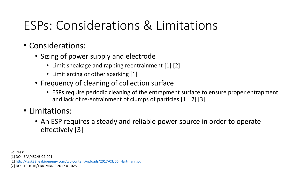## ESPs: Considerations & Limitations

- Considerations:
	- Sizing of power supply and electrode
		- Limit sneakage and rapping reentrainment [1] [2]
		- Limit arcing or other sparking [1]
	- Frequency of cleaning of collection surface
		- ESPs require periodic cleaning of the entrapment surface to ensure proper entrapment and lack of re-entrainment of clumps of particles [1] [2] [3]
- Limitations:
	- An ESP requires a steady and reliable power source in order to operate effectively [3]

**Sources:**

[1] DOI: EPA/452/B-02-001

[2] [http://task32.ieabioenergy.com/wp-content/uploads/2017/03/06\\_Hartmann.pdf](http://task32.ieabioenergy.com/wp-content/uploads/2017/03/06_Hartmann.pdf)

[2] DOI: 10.1016/J.BIOMBIOE.2017.01.025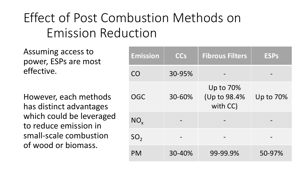## Effect of Post Combustion Methods on Emission Reduction

Assuming access to power, ESPs are most effective.

However, each methods has distinct advantages which could be leveraged to reduce emission in small-scale combustion of wood or biomass.

| <b>Emission</b> | <b>CCs</b> | <b>Fibrous Filters</b>                | <b>ESPs</b> |
|-----------------|------------|---------------------------------------|-------------|
| CO              | 30-95%     |                                       |             |
| OGC             | 30-60%     | Up to 70%<br>(Up to 98.4%<br>with CC) | Up to 70%   |
| $NO_{x}$        |            |                                       |             |
| SO <sub>2</sub> |            |                                       |             |
| <b>PM</b>       | 30-40%     | 99-99.9%                              | 50-97%      |